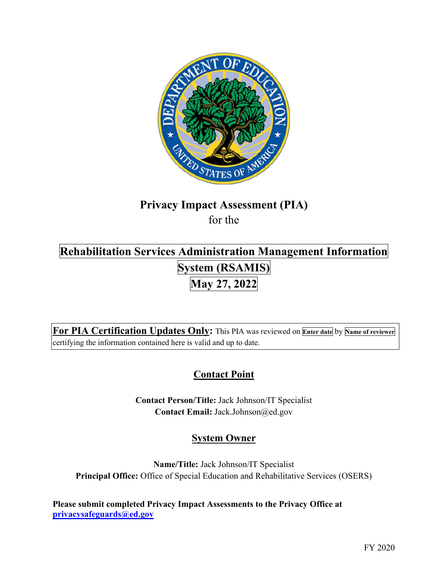

# **Privacy Impact Assessment (PIA)**

for the

## **System (RSAMIS) Rehabilitation Services Administration Management Information May 27, 2022**

 **For PIA Certification Updates Only:** This PIA was reviewed on **Enter date** by **Name of reviewer**  certifying the information contained here is valid and up to date.

### **Contact Point**

**Contact Person/Title:** Jack Johnson/IT Specialist **Contact Email:** [Jack.Johnson@ed.gov](mailto:Jack.Johnson@ed.gov)

### **System Owner**

**Name/Title:** Jack Johnson/IT Specialist **Principal Office:** Office of Special Education and Rehabilitative Services (OSERS)

 **[privacysafeguards@ed.gov](mailto:privacysafeguards@ed.gov) Please submit completed Privacy Impact Assessments to the Privacy Office at**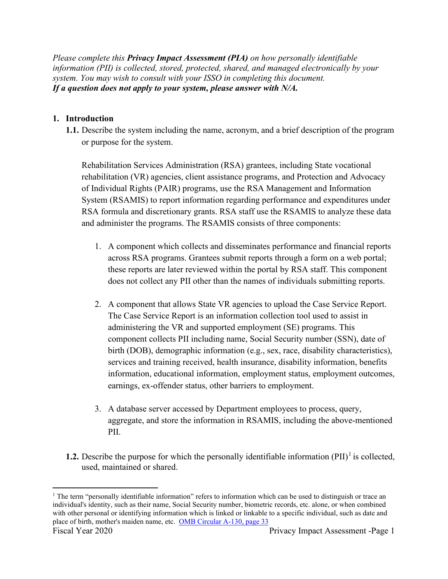*Please complete this Privacy Impact Assessment (PIA) on how personally identifiable information (PII) is collected, stored, protected, shared, and managed electronically by your system. You may wish to consult with your ISSO in completing this document. If a question does not apply to your system, please answer with N/A.* 

### **1. Introduction**

**1.1.** Describe the system including the name, acronym, and a brief description of the program or purpose for the system.

Rehabilitation Services Administration (RSA) grantees, including State vocational rehabilitation (VR) agencies, client assistance programs, and Protection and Advocacy of Individual Rights (PAIR) programs, use the RSA Management and Information System (RSAMIS) to report information regarding performance and expenditures under RSA formula and discretionary grants. RSA staff use the RSAMIS to analyze these data and administer the programs. The RSAMIS consists of three components:

- 1. A component which collects and disseminates performance and financial reports across RSA programs. Grantees submit reports through a form on a web portal; these reports are later reviewed within the portal by RSA staff. This component does not collect any PII other than the names of individuals submitting reports.
- 2. A component that allows State VR agencies to upload the Case Service Report. The Case Service Report is an information collection tool used to assist in administering the VR and supported employment (SE) programs. This component collects PII including name, Social Security number (SSN), date of birth (DOB), demographic information (e.g., sex, race, disability characteristics), services and training received, health insurance, disability information, benefits information, educational information, employment status, employment outcomes, earnings, ex-offender status, other barriers to employment.
- 3. A database server accessed by Department employees to process, query, aggregate, and store the information in RSAMIS, including the above-mentioned PII.
- **1.2.** Describe the purpose for which the personally identifiable information  $(PII)^{1}$  is collected, used, maintained or shared.

place of birth, mother's maiden name, etc. OMB Circular A-130, page 33 <sup>1</sup> The term "personally identifiable information" refers to information which can be used to distinguish or trace an individual's identity, such as their name, Social Security number, biometric records, etc. alone, or when combined with other personal or identifying information which is linked or linkable to a specific individual, such as date and Fiscal Year 2020 Privacy Impact Assessment -Page 1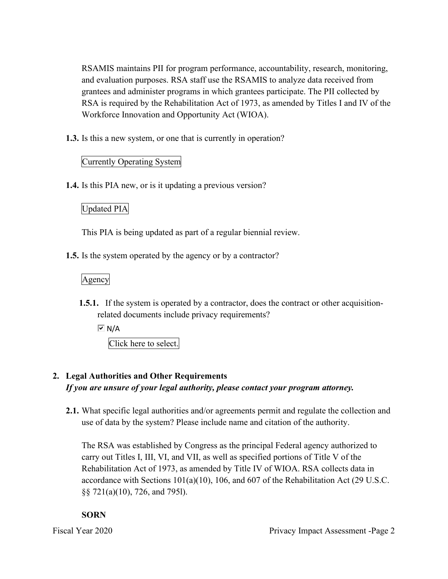RSA is required by the Rehabilitation Act of 1973, as amended by Titles I and IV of the RSAMIS maintains PII for program performance, accountability, research, monitoring, and evaluation purposes. RSA staff use the RSAMIS to analyze data received from grantees and administer programs in which grantees participate. The PII collected by Workforce Innovation and Opportunity Act (WIOA).

**1.3.** Is this a new system, or one that is currently in operation?

### Currently Operating System

**1.4.** Is this PIA new, or is it updating a previous version?

### Updated PIA

This PIA is being updated as part of a regular biennial review.

**1.5.** Is the system operated by the agency or by a contractor?

### Agency

**1.5.1.** If the system is operated by a contractor, does the contract or other acquisitionrelated documents include privacy requirements?

 $\overline{V}$  N/A

Click here to select.

### **2. Legal Authorities and Other Requirements**  *If you are unsure of your legal authority, please contact your program attorney.*

**2.1.** What specific legal authorities and/or agreements permit and regulate the collection and use of data by the system? Please include name and citation of the authority.

 carry out Titles I, III, VI, and VII, as well as specified portions of Title V of the The RSA was established by Congress as the principal Federal agency authorized to Rehabilitation Act of 1973, as amended by Title IV of WIOA. RSA collects data in accordance with Sections 101(a)(10), 106, and 607 of the Rehabilitation Act (29 U.S.C. §§ 721(a)(10), 726, and 7951).

### **SORN**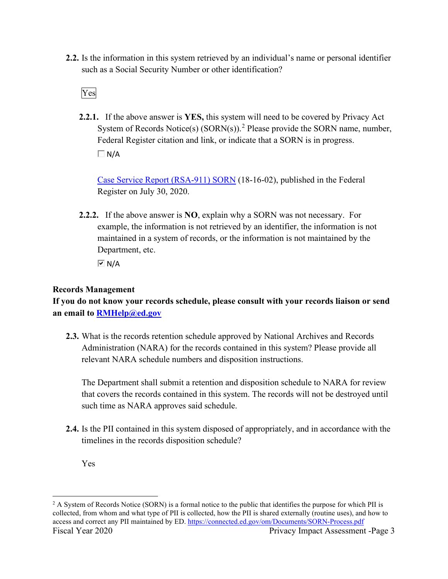such as a Social Security Number or other identification?<br>Ves **2.2.** Is the information in this system retrieved by an individual's name or personal identifier

**2.2.1.** If the above answer is **YES,** this system will need to be covered by Privacy Act System of Records Notice(s)  $(SORN(s))$ .<sup>2</sup> Please provide the SORN name, number, Federal Register citation and link, or indicate that a SORN is in progress.  $\Box$  N/A

Case Service Report (RSA-911) SORN (18-16-02), published in the Federal Register on July 30, 2020.

 **2.2.2.** If the above answer is **NO**, explain why a SORN was not necessary. For Department, etc. example, the information is not retrieved by an identifier, the information is not maintained in a system of records, or the information is not maintained by the

 $\overline{M}$  N/A

### **Records Management**

**If you do not know your records schedule, please consult with your records liaison or send an email to [RMHelp@ed.gov](mailto:RMHelp@ed.gov)** 

 **2.3.** What is the records retention schedule approved by National Archives and Records Administration (NARA) for the records contained in this system? Please provide all relevant NARA schedule numbers and disposition instructions.

The Department shall submit a retention and disposition schedule to NARA for review that covers the records contained in this system. The records will not be destroyed until such time as NARA approves said schedule.

**2.4.** Is the PII contained in this system disposed of appropriately, and in accordance with the timelines in the records disposition schedule?

Yes

access and correct any PII maintained by ED. <u>https://connected.ed.gov/om/Documents/SORN-Process.pdf</u><br>Fiscal Year 2020 Privacy Impact Assessment -Page 3 <sup>2</sup> A System of Records Notice (SORN) is a formal notice to the public that identifies the purpose for which PII is collected, from whom and what type of PII is collected, how the PII is shared externally (routine uses), and how to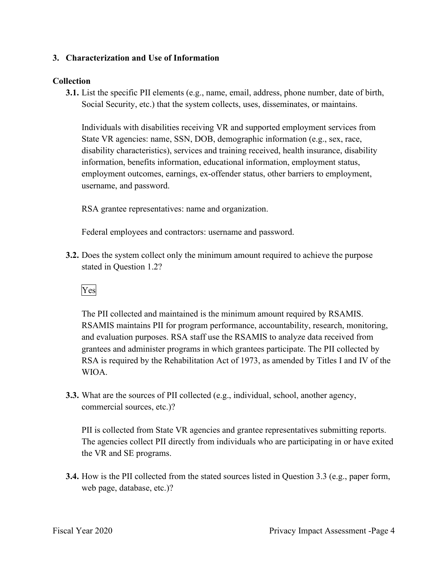### **3. Characterization and Use of Information**

### **Collection**

**3.1.** List the specific PII elements (e.g., name, email, address, phone number, date of birth, Social Security, etc.) that the system collects, uses, disseminates, or maintains.

username, and password. Individuals with disabilities receiving VR and supported employment services from State VR agencies: name, SSN, DOB, demographic information (e.g., sex, race, disability characteristics), services and training received, health insurance, disability information, benefits information, educational information, employment status, employment outcomes, earnings, ex-offender status, other barriers to employment,

RSA grantee representatives: name and organization.

Federal employees and contractors: username and password.

stated in Question 1.2?<br>Yes **3.2.** Does the system collect only the minimum amount required to achieve the purpose

 RSA is required by the Rehabilitation Act of 1973, as amended by Titles I and IV of the The PII collected and maintained is the minimum amount required by RSAMIS. RSAMIS maintains PII for program performance, accountability, research, monitoring, and evaluation purposes. RSA staff use the RSAMIS to analyze data received from grantees and administer programs in which grantees participate. The PII collected by WIOA.

**3.3.** What are the sources of PII collected (e.g., individual, school, another agency, commercial sources, etc.)?

PII is collected from State VR agencies and grantee representatives submitting reports. The agencies collect PII directly from individuals who are participating in or have exited the VR and SE programs.

**3.4.** How is the PII collected from the stated sources listed in Question 3.3 (e.g., paper form, web page, database, etc.)?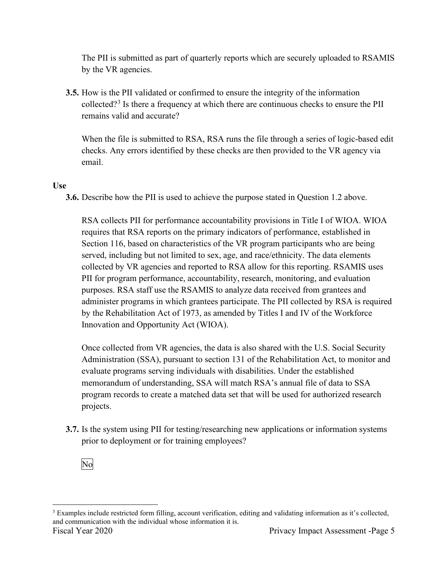The PII is submitted as part of quarterly reports which are securely uploaded to RSAMIS by the VR agencies.

**3.5.** How is the PII validated or confirmed to ensure the integrity of the information collected?<sup>3</sup> Is there a frequency at which there are continuous checks to ensure the PII remains valid and accurate?

When the file is submitted to RSA, RSA runs the file through a series of logic-based edit checks. Any errors identified by these checks are then provided to the VR agency via email.

### **Use**

**3.6.** Describe how the PII is used to achieve the purpose stated in Question 1.2 above.

 by the Rehabilitation Act of 1973, as amended by Titles I and IV of the Workforce RSA collects PII for performance accountability provisions in Title I of WIOA. WIOA requires that RSA reports on the primary indicators of performance, established in Section 116, based on characteristics of the VR program participants who are being served, including but not limited to sex, age, and race/ethnicity. The data elements collected by VR agencies and reported to RSA allow for this reporting. RSAMIS uses PII for program performance, accountability, research, monitoring, and evaluation purposes. RSA staff use the RSAMIS to analyze data received from grantees and administer programs in which grantees participate. The PII collected by RSA is required Innovation and Opportunity Act (WIOA).

Once collected from VR agencies, the data is also shared with the U.S. Social Security Administration (SSA), pursuant to section 131 of the Rehabilitation Act, to monitor and evaluate programs serving individuals with disabilities. Under the established memorandum of understanding, SSA will match RSA's annual file of data to SSA program records to create a matched data set that will be used for authorized research projects.

prior to deployment or for training employees?<br>No **3.7.** Is the system using PII for testing/researching new applications or information systems



and communication with the individual whose information it is.<br>Fiscal Year 2020 Privacy Impact Assessment -Page 5 <sup>3</sup> Examples include restricted form filling, account verification, editing and validating information as it's collected,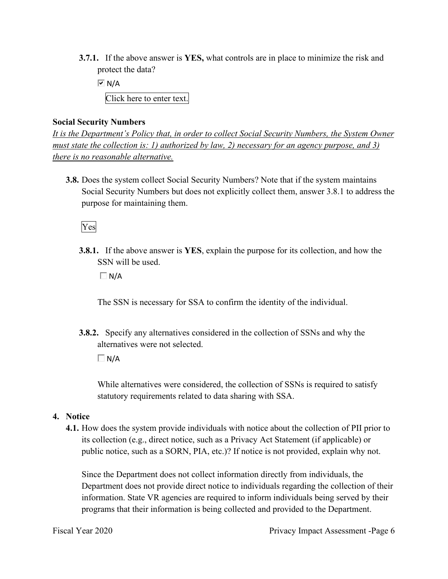**3.7.1.** If the above answer is **YES,** what controls are in place to minimize the risk and protect the data?

 Click here to enter text.  $\overline{M}$  N/A

### **Social Security Numbers**

*It is the Department's Policy that, in order to collect Social Security Numbers, the System Owner must state the collection is: 1) authorized by law, 2) necessary for an agency purpose, and 3) there is no reasonable alternative.* 

 **3.8.** Does the system collect Social Security Numbers? Note that if the system maintains Social Security Numbers but does not explicitly collect them, answer 3.8.1 to address the purpose for maintaining them.

### Yes

**3.8.1.** If the above answer is **YES**, explain the purpose for its collection, and how the SSN will be used.

 $\Box$  N/A

The SSN is necessary for SSA to confirm the identity of the individual.

**3.8.2.** Specify any alternatives considered in the collection of SSNs and why the alternatives were not selected.

 $\Box$  N/A

 statutory requirements related to data sharing with SSA. While alternatives were considered, the collection of SSNs is required to satisfy

### **4. Notice**

**4.1.** How does the system provide individuals with notice about the collection of PII prior to its collection (e.g., direct notice, such as a Privacy Act Statement (if applicable) or public notice, such as a SORN, PIA, etc.)? If notice is not provided, explain why not.

Since the Department does not collect information directly from individuals, the Department does not provide direct notice to individuals regarding the collection of their information. State VR agencies are required to inform individuals being served by their programs that their information is being collected and provided to the Department.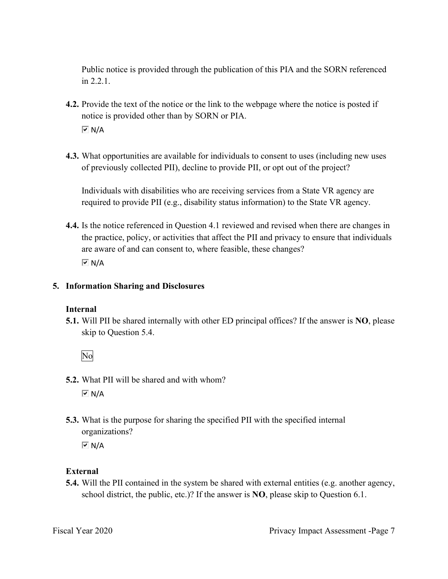Public notice is provided through the publication of this PIA and the SORN referenced in 2.2.1.

- **4.2.** Provide the text of the notice or the link to the webpage where the notice is posted if notice is provided other than by SORN or PIA.  $\overline{M}$  N/A
- **4.3.** What opportunities are available for individuals to consent to uses (including new uses of previously collected PII), decline to provide PII, or opt out of the project?

Individuals with disabilities who are receiving services from a State VR agency are required to provide PII (e.g., disability status information) to the State VR agency.

 are aware of and can consent to, where feasible, these changes? **4.4.** Is the notice referenced in Question 4.1 reviewed and revised when there are changes in the practice, policy, or activities that affect the PII and privacy to ensure that individuals  $\overline{M}$  N/A

### **5. Information Sharing and Disclosures**

### **Internal**

 **5.1.** Will PII be shared internally with other ED principal offices? If the answer is **NO**, please skip to Question 5.4.

No

- **5.2.** What PII will be shared and with whom?  $\overline{M}$  N/A
- organizations? **5.3.** What is the purpose for sharing the specified PII with the specified internal

 $\overline{M}$  N/A

### **External**

**5.4.** Will the PII contained in the system be shared with external entities (e.g. another agency, school district, the public, etc.)? If the answer is **NO**, please skip to Question 6.1.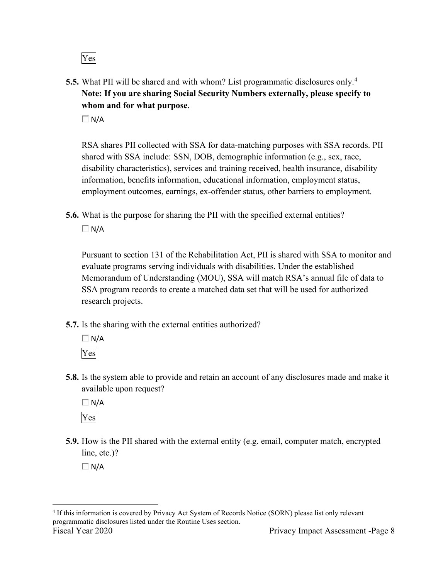Yes

 **5.5.** What PII will be shared and with whom? List programmatic disclosures only.<sup>4</sup> **Note: If you are sharing Social Security Numbers externally, please specify to whom and for what purpose**.

 $\Box$  N/A

RSA shares PII collected with SSA for data-matching purposes with SSA records. PII shared with SSA include: SSN, DOB, demographic information (e.g., sex, race, disability characteristics), services and training received, health insurance, disability information, benefits information, educational information, employment status, employment outcomes, earnings, ex-offender status, other barriers to employment.

**5.6.** What is the purpose for sharing the PII with the specified external entities?

 $\Box$  N/A

Pursuant to section 131 of the Rehabilitation Act, PII is shared with SSA to monitor and evaluate programs serving individuals with disabilities. Under the established Memorandum of Understanding (MOU), SSA will match RSA's annual file of data to SSA program records to create a matched data set that will be used for authorized research projects.

- **5.7.** Is the sharing with the external entities authorized?
	- $\Box$  N/A Yes
- **5.8.** Is the system able to provide and retain an account of any disclosures made and make it available upon request?

 $\Box$  N/A Yes

 **5.9.** How is the PII shared with the external entity (e.g. email, computer match, encrypted line, etc.)?

 $\Box$  N/A

<sup>4</sup> If this information is covered by Privacy Act System of Records Notice (SORN) please list only relevant programmatic disclosures listed under the Routine Uses section. Fiscal Year 2020 Privacy Impact Assessment -Page 8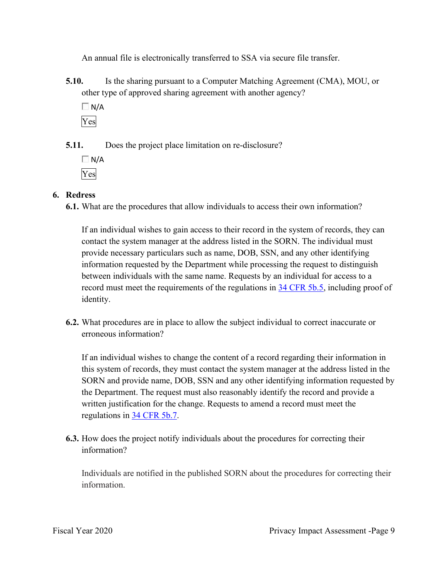An annual file is electronically transferred to SSA via secure file transfer.

- **5.10.** Is the sharing pursuant to a Computer Matching Agreement (CMA), MOU, or other type of approved sharing agreement with another agency?
	- $\Box$  N/A Yes

**5.11.** Does the project place limitation on re-disclosure?

 $\Box$  N/A Yes

### **6. Redress**

**6.1.** What are the procedures that allow individuals to access their own information?

If an individual wishes to gain access to their record in the system of records, they can contact the system manager at the address listed in the SORN. The individual must provide necessary particulars such as name, DOB, SSN, and any other identifying information requested by the Department while processing the request to distinguish between individuals with the same name. Requests by an individual for access to a record must meet the requirements of the regulations in 34 CFR 5b.5, including proof of identity.

**6.2.** What procedures are in place to allow the subject individual to correct inaccurate or erroneous information?

 If an individual wishes to change the content of a record regarding their information in this system of records, they must contact the system manager at the address listed in the SORN and provide name, DOB, SSN and any other identifying information requested by the Department. The request must also reasonably identify the record and provide a written justification for the change. Requests to amend a record must meet the regulations in 34 CFR 5b.7.

**6.3.** How does the project notify individuals about the procedures for correcting their information?

Individuals are notified in the published SORN about the procedures for correcting their information.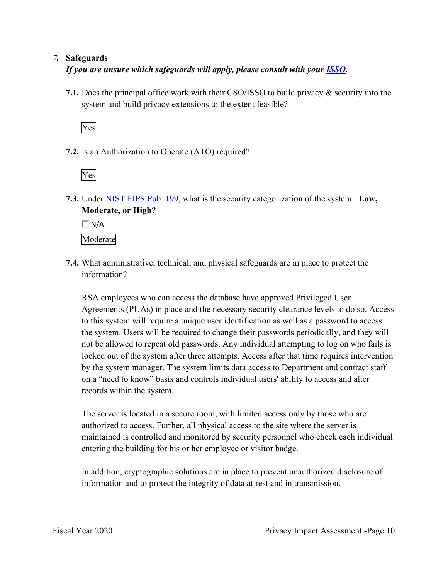### *7.* **Safeguards**

### *If you are unsure which safeguards will apply, please consult with your ISSO.*

 system and build privacy extensions to the extent feasible? **7.1.** Does the principal office work with their CSO/ISSO to build privacy & security into the

Yes

**7.2.** Is an Authorization to Operate (ATO) required?

Yes

**7.3.** Under NIST FIPS Pub. 199, what is the security categorization of the system: **Low, Moderate, or High?** 

 $\Box$  N/A

Moderate

**7.4.** What administrative, technical, and physical safeguards are in place to protect the information?

 on a "need to know" basis and controls individual users' ability to access and alter RSA employees who can access the database have approved Privileged User Agreements (PUAs) in place and the necessary security clearance levels to do so. Access to this system will require a unique user identification as well as a password to access the system. Users will be required to change their passwords periodically, and they will not be allowed to repeat old passwords. Any individual attempting to log on who fails is locked out of the system after three attempts. Access after that time requires intervention by the system manager. The system limits data access to Department and contract staff records within the system.

 authorized to access. Further, all physical access to the site where the server is The server is located in a secure room, with limited access only by those who are maintained is controlled and monitored by security personnel who check each individual entering the building for his or her employee or visitor badge.

In addition, cryptographic solutions are in place to prevent unauthorized disclosure of information and to protect the integrity of data at rest and in transmission.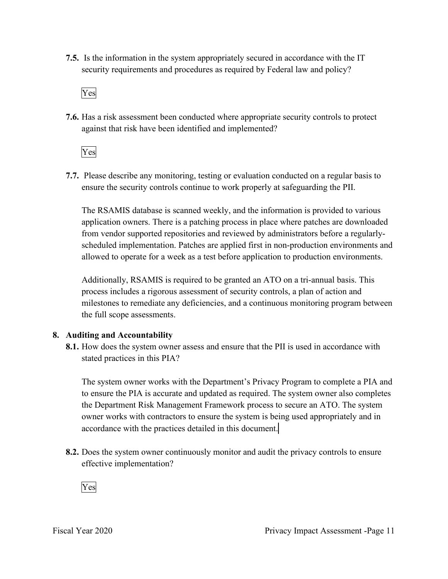**7.5.** Is the information in the system appropriately secured in accordance with the IT security requirements and procedures as required by Federal law and policy?

Yes

**7.6.** Has a risk assessment been conducted where appropriate security controls to protect against that risk have been identified and implemented?

Yes

 ensure the security controls continue to work properly at safeguarding the PII. **7.7.** Please describe any monitoring, testing or evaluation conducted on a regular basis to

 allowed to operate for a week as a test before application to production environments. The RSAMIS database is scanned weekly, and the information is provided to various application owners. There is a patching process in place where patches are downloaded from vendor supported repositories and reviewed by administrators before a regularlyscheduled implementation. Patches are applied first in non-production environments and

Additionally, RSAMIS is required to be granted an ATO on a tri-annual basis. This process includes a rigorous assessment of security controls, a plan of action and milestones to remediate any deficiencies, and a continuous monitoring program between the full scope assessments.

### **8. Auditing and Accountability**

 **8.1.** How does the system owner assess and ensure that the PII is used in accordance with stated practices in this PIA?

 The system owner works with the Department's Privacy Program to complete a PIA and the Department Risk Management Framework process to secure an ATO. The system to ensure the PIA is accurate and updated as required. The system owner also completes owner works with contractors to ensure the system is being used appropriately and in accordance with the practices detailed in this document.

 **8.2.** Does the system owner continuously monitor and audit the privacy controls to ensure effective implementation?